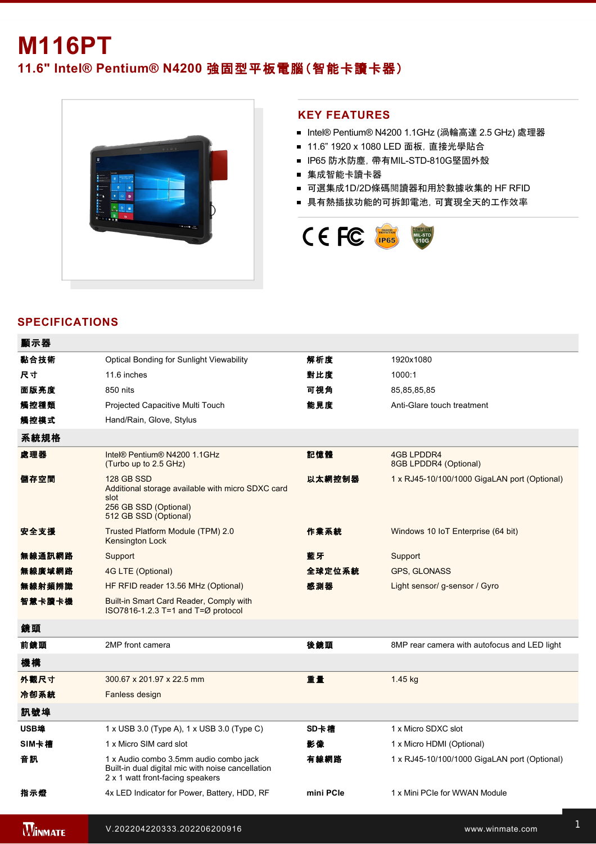# **M116PT 11.6" Intel® Pentium® N4200** 強固型平板電腦(智能卡讀卡器)



#### **KEY FEATURES**

- Intel® Pentium® N4200 1.1GHz (渦輪高達 2.5 GHz) 處理器
- 11.6" 1920 x 1080 LED 面板, 直接光學貼合
- IP65 防水防塵, 帶有MIL-STD-810G堅固外殼
- 集成智能卡讀卡器
- 可選集成1D/2D條碼閱讀器和用於數據收集的 HF RFID
- 具有熱插拔功能的可拆卸電池,可實現全天的工作效率



## **SPECIFICATIONS**

| 顯示器    |                                                                                                                                  |           |                                              |
|--------|----------------------------------------------------------------------------------------------------------------------------------|-----------|----------------------------------------------|
| 黏合技術   | <b>Optical Bonding for Sunlight Viewability</b>                                                                                  | 解析度       | 1920x1080                                    |
| 尺寸     | 11.6 inches                                                                                                                      | 對比度       | 1000:1                                       |
| 面版亮度   | 850 nits                                                                                                                         | 可視角       | 85,85,85,85                                  |
| 觸控種類   | Projected Capacitive Multi Touch                                                                                                 | 能見度       | Anti-Glare touch treatment                   |
| 觸控模式   | Hand/Rain, Glove, Stylus                                                                                                         |           |                                              |
| 系統規格   |                                                                                                                                  |           |                                              |
| 處理器    | Intel® Pentium® N4200 1.1GHz<br>(Turbo up to 2.5 GHz)                                                                            | 記憶體       | <b>4GB LPDDR4</b><br>8GB LPDDR4 (Optional)   |
| 儲存空間   | <b>128 GB SSD</b><br>Additional storage available with micro SDXC card<br>slot<br>256 GB SSD (Optional)<br>512 GB SSD (Optional) | 以太網控制器    | 1 x RJ45-10/100/1000 GigaLAN port (Optional) |
| 安全支援   | Trusted Platform Module (TPM) 2.0<br>Kensington Lock                                                                             | 作業系統      | Windows 10 IoT Enterprise (64 bit)           |
| 無線通訊網路 | Support                                                                                                                          | 藍牙        | Support                                      |
| 無線廣域網路 | 4G LTE (Optional)                                                                                                                | 全球定位系統    | <b>GPS, GLONASS</b>                          |
| 無線射頻辨識 | HF RFID reader 13.56 MHz (Optional)                                                                                              | 感測器       | Light sensor/ g-sensor / Gyro                |
| 智慧卡讀卡機 | Built-in Smart Card Reader, Comply with<br>ISO7816-1.2.3 T=1 and T=Ø protocol                                                    |           |                                              |
| 鏡頭     |                                                                                                                                  |           |                                              |
| 前鏡頭    | 2MP front camera                                                                                                                 | 後鏡頭       | 8MP rear camera with autofocus and LED light |
| 機構     |                                                                                                                                  |           |                                              |
| 外觀尺寸   | 300.67 x 201.97 x 22.5 mm                                                                                                        | 重量        | 1.45 kg                                      |
| 冷卻系統   | Fanless design                                                                                                                   |           |                                              |
| 訊號埠    |                                                                                                                                  |           |                                              |
| USB埠   | $1 \times$ USB 3.0 (Type A), $1 \times$ USB 3.0 (Type C)                                                                         | SD卡槽      | 1 x Micro SDXC slot                          |
| SIM卡槽  | 1 x Micro SIM card slot                                                                                                          | 影像        | 1 x Micro HDMI (Optional)                    |
| 音訊     | 1 x Audio combo 3.5mm audio combo jack<br>Built-in dual digital mic with noise cancellation<br>2 x 1 watt front-facing speakers  | 有線網路      | 1 x RJ45-10/100/1000 GigaLAN port (Optional) |
| 指示燈    | 4x LED Indicator for Power, Battery, HDD, RF                                                                                     | mini PCIe | 1 x Mini PCIe for WWAN Module                |

**WINMATE**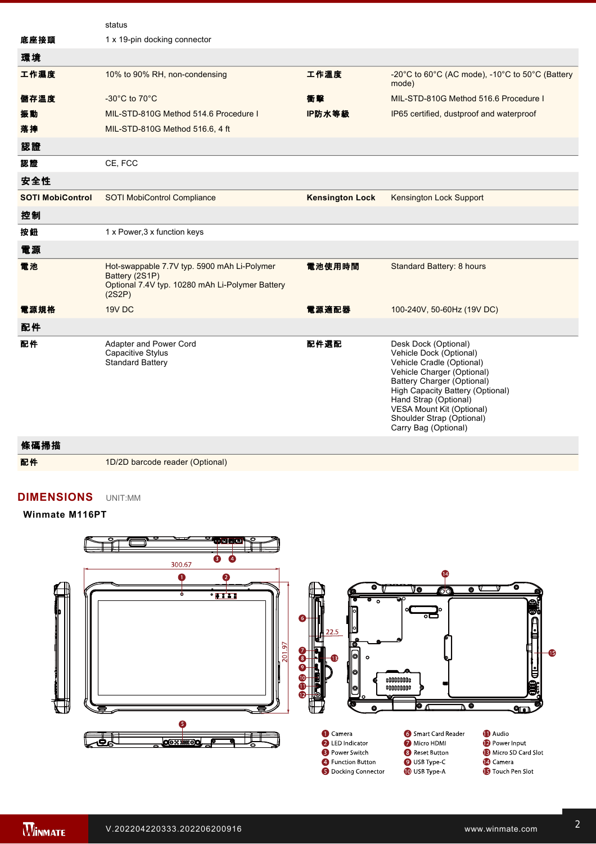|                         | status                                                                                                                     |                        |                                                                                                                                                                                                                                                                                         |
|-------------------------|----------------------------------------------------------------------------------------------------------------------------|------------------------|-----------------------------------------------------------------------------------------------------------------------------------------------------------------------------------------------------------------------------------------------------------------------------------------|
| 底座接頭                    | 1 x 19-pin docking connector                                                                                               |                        |                                                                                                                                                                                                                                                                                         |
| 環境                      |                                                                                                                            |                        |                                                                                                                                                                                                                                                                                         |
| 工作濕度                    | 10% to 90% RH, non-condensing                                                                                              | 工作溫度                   | -20°C to 60°C (AC mode), -10°C to 50°C (Battery<br>mode)                                                                                                                                                                                                                                |
| 儲存溫度                    | -30 $^{\circ}$ C to 70 $^{\circ}$ C                                                                                        | 衝擊                     | MIL-STD-810G Method 516.6 Procedure I                                                                                                                                                                                                                                                   |
| 振動                      | MIL-STD-810G Method 514.6 Procedure I                                                                                      | IP防水等級                 | IP65 certified, dustproof and waterproof                                                                                                                                                                                                                                                |
| 落摔                      | MIL-STD-810G Method 516.6, 4 ft                                                                                            |                        |                                                                                                                                                                                                                                                                                         |
| 認證                      |                                                                                                                            |                        |                                                                                                                                                                                                                                                                                         |
| 認證                      | CE, FCC                                                                                                                    |                        |                                                                                                                                                                                                                                                                                         |
| 安全性                     |                                                                                                                            |                        |                                                                                                                                                                                                                                                                                         |
| <b>SOTI MobiControl</b> | <b>SOTI MobiControl Compliance</b>                                                                                         | <b>Kensington Lock</b> | <b>Kensington Lock Support</b>                                                                                                                                                                                                                                                          |
| 控制                      |                                                                                                                            |                        |                                                                                                                                                                                                                                                                                         |
| 按鈕                      | 1 x Power, 3 x function keys                                                                                               |                        |                                                                                                                                                                                                                                                                                         |
| 電源                      |                                                                                                                            |                        |                                                                                                                                                                                                                                                                                         |
| 電池                      | Hot-swappable 7.7V typ. 5900 mAh Li-Polymer<br>Battery (2S1P)<br>Optional 7.4V typ. 10280 mAh Li-Polymer Battery<br>(2S2P) | 電池使用時間                 | Standard Battery: 8 hours                                                                                                                                                                                                                                                               |
| 電源規格                    | 19V DC                                                                                                                     | 電源適配器                  | 100-240V, 50-60Hz (19V DC)                                                                                                                                                                                                                                                              |
| 配件                      |                                                                                                                            |                        |                                                                                                                                                                                                                                                                                         |
| 配件                      | Adapter and Power Cord<br>Capacitive Stylus<br><b>Standard Battery</b>                                                     | 配件選配                   | Desk Dock (Optional)<br>Vehicle Dock (Optional)<br>Vehicle Cradle (Optional)<br>Vehicle Charger (Optional)<br>Battery Charger (Optional)<br>High Capacity Battery (Optional)<br>Hand Strap (Optional)<br>VESA Mount Kit (Optional)<br>Shoulder Strap (Optional)<br>Carry Bag (Optional) |

條碼掃描

配件 1D/2D barcode reader (Optional)

2 x 1 watter from the speakers and the speakers of the speakers of the speakers of the speakers of the speakers

### **DIMENSIONS**  UNIT:MM

#### **Winmate M116PT**



**NOTE**